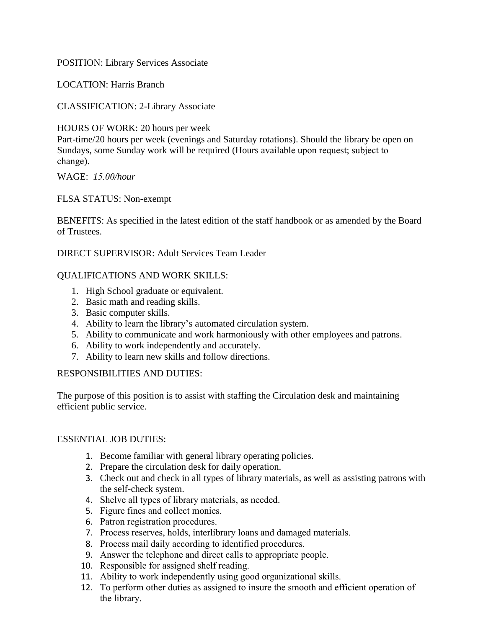POSITION: Library Services Associate

LOCATION: Harris Branch

CLASSIFICATION: 2-Library Associate

HOURS OF WORK: 20 hours per week Part-time/20 hours per week (evenings and Saturday rotations). Should the library be open on Sundays, some Sunday work will be required (Hours available upon request; subject to change).

# WAGE: *15.00/hour*

FLSA STATUS: Non-exempt

BENEFITS: As specified in the latest edition of the staff handbook or as amended by the Board of Trustees.

DIRECT SUPERVISOR: Adult Services Team Leader

### QUALIFICATIONS AND WORK SKILLS:

- 1. High School graduate or equivalent.
- 2. Basic math and reading skills.
- 3. Basic computer skills.
- 4. Ability to learn the library's automated circulation system.
- 5. Ability to communicate and work harmoniously with other employees and patrons.
- 6. Ability to work independently and accurately.
- 7. Ability to learn new skills and follow directions.

### RESPONSIBILITIES AND DUTIES:

The purpose of this position is to assist with staffing the Circulation desk and maintaining efficient public service.

### ESSENTIAL JOB DUTIES:

- 1. Become familiar with general library operating policies.
- 2. Prepare the circulation desk for daily operation.
- 3. Check out and check in all types of library materials, as well as assisting patrons with the self-check system.
- 4. Shelve all types of library materials, as needed.
- 5. Figure fines and collect monies.
- 6. Patron registration procedures.
- 7. Process reserves, holds, interlibrary loans and damaged materials.
- 8. Process mail daily according to identified procedures.
- 9. Answer the telephone and direct calls to appropriate people.
- 10. Responsible for assigned shelf reading.
- 11. Ability to work independently using good organizational skills.
- 12. To perform other duties as assigned to insure the smooth and efficient operation of the library.